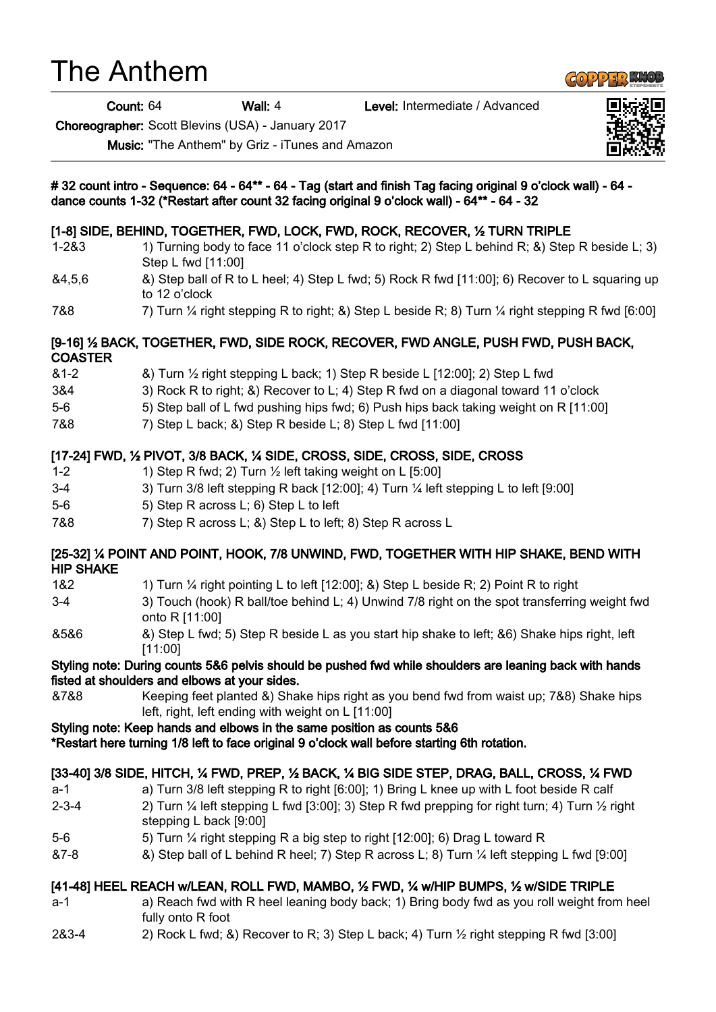# The Anthem

Count: 64 Wall: 4 Level: Intermediate / Advanced

Choreographer: Scott Blevins (USA) - January 2017

Music: "The Anthem" by Griz - iTunes and Amazon





**GOPPER KNO**